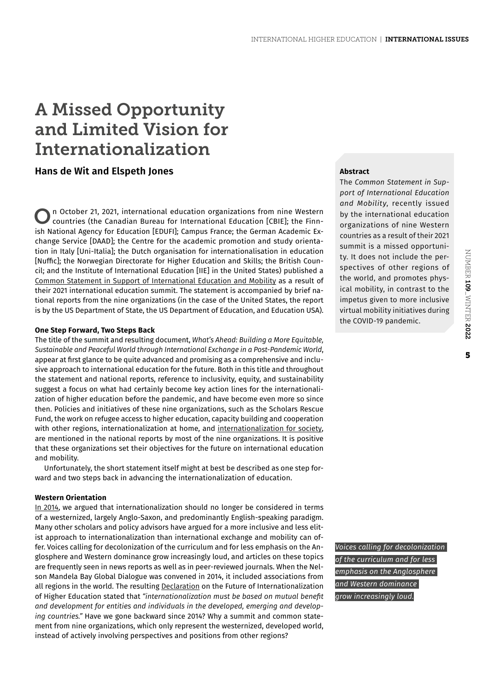# A Missed Opportunity and Limited Vision for Internationalization

## **Hans de Wit and Elspeth Jones**

On October 21, 2021, international education organizations from nine Western countries (the Canadian Bureau for International Education [CBIE]; the Finnish National Agency for Education [EDUFI]; Campus France; the German Academic Exchange Service [DAAD]; the Centre for the academic promotion and study orientation in Italy [Uni-Italia]; the Dutch organisation for internationalisation in education [Nuffic]; the Norwegian Directorate for Higher Education and Skills; the British Council; and the Institute of International Education [IIE] in the United States) published a [Common Statement in Support of International Education and Mobility](https://iie.widen.net/s/f7hdt6jd9q/g7_compilation) as a result of their 2021 international education summit. The statement is accompanied by brief national reports from the nine organizations (in the case of the United States, the report is by the US Department of State, the US Department of Education, and Education USA).

#### **One Step Forward, Two Steps Back**

The title of the summit and resulting document, *What's Ahead: Building a More Equitable, Sustainable and Peaceful World through International Exchange in a Post-Pandemic World*, appear at first glance to be quite advanced and promising as a comprehensive and inclusive approach to international education for the future. Both in this title and throughout the statement and national reports, reference to inclusivity, equity, and sustainability suggest a focus on what had certainly become key action lines for the internationalization of higher education before the pandemic, and have become even more so since then. Policies and initiatives of these nine organizations, such as the Scholars Rescue Fund, the work on refugee access to higher education, capacity building and cooperation with other regions, internationalization at home, and [internationalization for society](https://www.universityworldnews.com/post.php?story=20190626135618704), are mentioned in the national reports by most of the nine organizations. It is positive that these organizations set their objectives for the future on international education and mobility.

Unfortunately, the short statement itself might at best be described as one step forward and two steps back in advancing the internationalization of education.

#### **Western Orientation**

[In 2014](http://www.naylornetwork.com/iie-nwl/articles/index.asp?aid=260471&issueID=33350), we argued that internationalization should no longer be considered in terms of a westernized, largely Anglo-Saxon, and predominantly English-speaking paradigm. Many other scholars and policy advisors have argued for a more inclusive and less elitist approach to internationalization than international exchange and mobility can offer. Voices calling for decolonization of the curriculum and for less emphasis on the Anglosphere and Western dominance grow increasingly loud, and articles on these topics are frequently seen in news reports as well as in peer-reviewed journals. When the Nelson Mandela Bay Global Dialogue was convened in 2014, it included associations from all regions in the world. The resulting [Declaration](https://iau-aiu.net/IMG/pdf/nelson_mandela_bay_declaration.pdf) on the Future of Internationalization of Higher Education stated that *"internationalization must be based on mutual benefit and development for entities and individuals in the developed, emerging and developing countries."* Have we gone backward since 2014? Why a summit and common statement from nine organizations, which only represent the westernized, developed world, instead of actively involving perspectives and positions from other regions?

### **Abstract**

The *Common Statement in Support of International Education and Mobility*, recently issued by the international education organizations of nine Western countries as a result of their 2021 summit is a missed opportunity. It does not include the perspectives of other regions of the world, and promotes physical mobility, in contrast to the impetus given to more inclusive virtual mobility initiatives during the COVID-19 pandemic.

*Voices calling for decolonization of the curriculum and for less emphasis on the Anglosphere and Western dominance grow increasingly loud.*